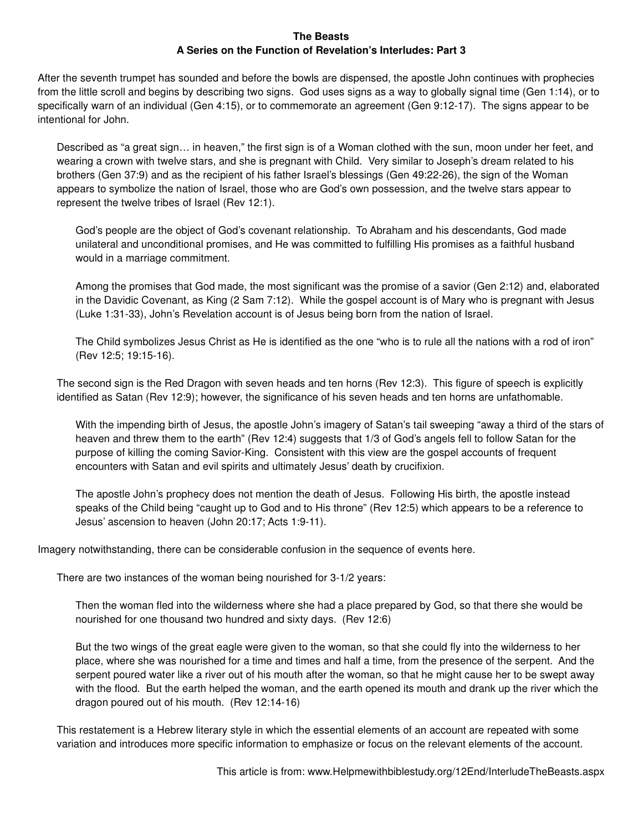# **The Beasts A Series on the Function of Revelation's Interludes: Part 3**

After the seventh trumpet has sounded and before the bowls are dispensed, the apostle John continues with prophecies from the little scroll and begins by describing two signs. God uses signs as a way to globally signal time (Gen 1:14), or to specifically warn of an individual (Gen 4:15), or to commemorate an agreement (Gen 9:12-17). The signs appear to be intentional for John.

Described as "a great sign… in heaven," the first sign is of a Woman clothed with the sun, moon under her feet, and wearing a crown with twelve stars, and she is pregnant with Child. Very similar to Joseph's dream related to his brothers (Gen 37:9) and as the recipient of his father Israel's blessings (Gen 49:22-26), the sign of the Woman appears to symbolize the nation of Israel, those who are God's own possession, and the twelve stars appear to represent the twelve tribes of Israel (Rev 12:1).

God's people are the object of God's covenant relationship. To Abraham and his descendants, God made unilateral and unconditional promises, and He was committed to fulfilling His promises as a faithful husband would in a marriage commitment.

Among the promises that God made, the most significant was the promise of a savior (Gen 2:12) and, elaborated in the Davidic Covenant, as King (2 Sam 7:12). While the gospel account is of Mary who is pregnant with Jesus (Luke 1:31-33), John's Revelation account is of Jesus being born from the nation of Israel.

The Child symbolizes Jesus Christ as He is identified as the one "who is to rule all the nations with a rod of iron" (Rev 12:5; 19:15-16).

The second sign is the Red Dragon with seven heads and ten horns (Rev 12:3). This figure of speech is explicitly identified as Satan (Rev 12:9); however, the significance of his seven heads and ten horns are unfathomable.

With the impending birth of Jesus, the apostle John's imagery of Satan's tail sweeping "away a third of the stars of heaven and threw them to the earth" (Rev 12:4) suggests that 1/3 of God's angels fell to follow Satan for the purpose of killing the coming Savior-King. Consistent with this view are the gospel accounts of frequent encounters with Satan and evil spirits and ultimately Jesus' death by crucifixion.

The apostle John's prophecy does not mention the death of Jesus. Following His birth, the apostle instead speaks of the Child being "caught up to God and to His throne" (Rev 12:5) which appears to be a reference to Jesus' ascension to heaven (John 20:17; Acts 1:9-11).

Imagery notwithstanding, there can be considerable confusion in the sequence of events here.

There are two instances of the woman being nourished for 3-1/2 years:

Then the woman fled into the wilderness where she had a place prepared by God, so that there she would be nourished for one thousand two hundred and sixty days. (Rev 12:6)

But the two wings of the great eagle were given to the woman, so that she could fly into the wilderness to her place, where she was nourished for a time and times and half a time, from the presence of the serpent. And the serpent poured water like a river out of his mouth after the woman, so that he might cause her to be swept away with the flood. But the earth helped the woman, and the earth opened its mouth and drank up the river which the dragon poured out of his mouth. (Rev 12:14-16)

This restatement is a Hebrew literary style in which the essential elements of an account are repeated with some variation and introduces more specific information to emphasize or focus on the relevant elements of the account.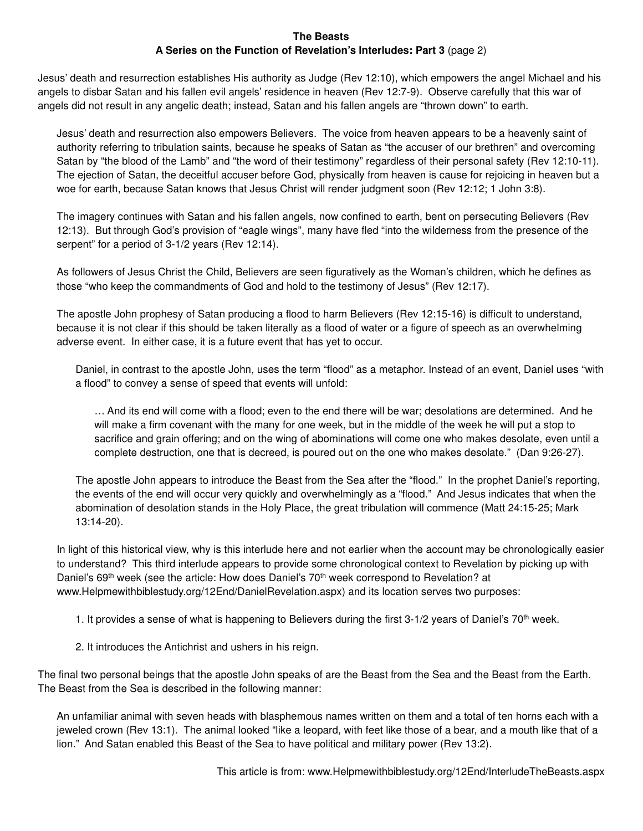# **The Beasts A Series on the Function of Revelation's Interludes: Part 3** (page 2)

Jesus' death and resurrection establishes His authority as Judge (Rev 12:10), which empowers the angel Michael and his angels to disbar Satan and his fallen evil angels' residence in heaven (Rev 12:7-9). Observe carefully that this war of angels did not result in any angelic death; instead, Satan and his fallen angels are "thrown down" to earth.

Jesus' death and resurrection also empowers Believers. The voice from heaven appears to be a heavenly saint of authority referring to tribulation saints, because he speaks of Satan as "the accuser of our brethren" and overcoming Satan by "the blood of the Lamb" and "the word of their testimony" regardless of their personal safety (Rev 12:10-11). The ejection of Satan, the deceitful accuser before God, physically from heaven is cause for rejoicing in heaven but a woe for earth, because Satan knows that Jesus Christ will render judgment soon (Rev 12:12; 1 John 3:8).

The imagery continues with Satan and his fallen angels, now confined to earth, bent on persecuting Believers (Rev 12:13). But through God's provision of "eagle wings", many have fled "into the wilderness from the presence of the serpent" for a period of 3-1/2 years (Rev 12:14).

As followers of Jesus Christ the Child, Believers are seen figuratively as the Woman's children, which he defines as those "who keep the commandments of God and hold to the testimony of Jesus" (Rev 12:17).

The apostle John prophesy of Satan producing a flood to harm Believers (Rev 12:15-16) is difficult to understand, because it is not clear if this should be taken literally as a flood of water or a figure of speech as an overwhelming adverse event. In either case, it is a future event that has yet to occur.

Daniel, in contrast to the apostle John, uses the term "flood" as a metaphor. Instead of an event, Daniel uses "with a flood" to convey a sense of speed that events will unfold:

… And its end will come with a flood; even to the end there will be war; desolations are determined. And he will make a firm covenant with the many for one week, but in the middle of the week he will put a stop to sacrifice and grain offering; and on the wing of abominations will come one who makes desolate, even until a complete destruction, one that is decreed, is poured out on the one who makes desolate." (Dan 9:26-27).

The apostle John appears to introduce the Beast from the Sea after the "flood." In the prophet Daniel's reporting, the events of the end will occur very quickly and overwhelmingly as a "flood." And Jesus indicates that when the abomination of desolation stands in the Holy Place, the great tribulation will commence (Matt 24:15-25; Mark 13:14-20).

In light of this historical view, why is this interlude here and not earlier when the account may be chronologically easier to understand? This third interlude appears to provide some chronological context to Revelation by picking up with Daniel's 69<sup>th</sup> week (see the article: How does Daniel's 70<sup>th</sup> week correspond to Revelation? at www.Helpmewithbiblestudy.org/12End/DanielRevelation.aspx) and its location serves two purposes:

- 1. It provides a sense of what is happening to Believers during the first 3-1/2 years of Daniel's 70<sup>th</sup> week.
- 2. It introduces the Antichrist and ushers in his reign.

The final two personal beings that the apostle John speaks of are the Beast from the Sea and the Beast from the Earth. The Beast from the Sea is described in the following manner:

An unfamiliar animal with seven heads with blasphemous names written on them and a total of ten horns each with a jeweled crown (Rev 13:1). The animal looked "like a leopard, with feet like those of a bear, and a mouth like that of a lion." And Satan enabled this Beast of the Sea to have political and military power (Rev 13:2).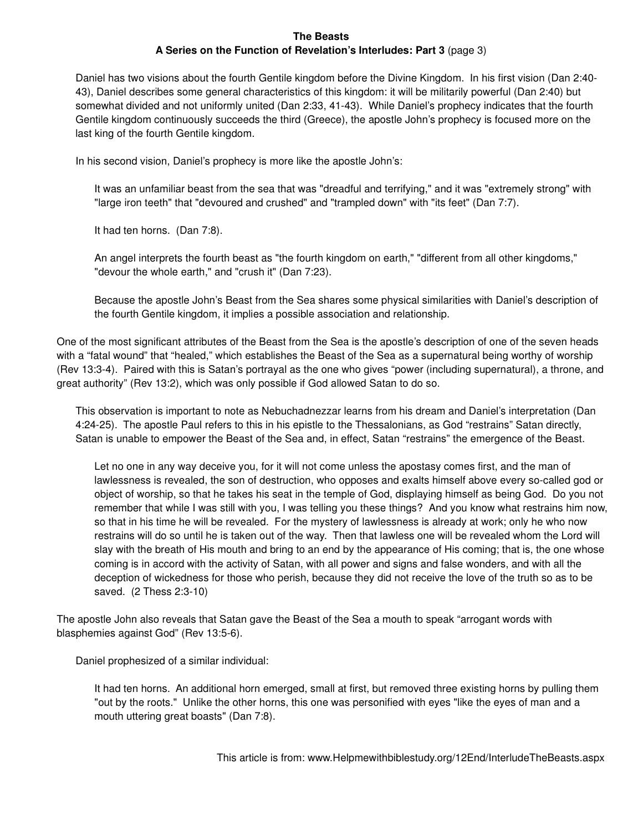# **The Beasts A Series on the Function of Revelation's Interludes: Part 3** (page 3)

Daniel has two visions about the fourth Gentile kingdom before the Divine Kingdom. In his first vision (Dan 2:40- 43), Daniel describes some general characteristics of this kingdom: it will be militarily powerful (Dan 2:40) but somewhat divided and not uniformly united (Dan 2:33, 41-43). While Daniel's prophecy indicates that the fourth Gentile kingdom continuously succeeds the third (Greece), the apostle John's prophecy is focused more on the last king of the fourth Gentile kingdom.

In his second vision, Daniel's prophecy is more like the apostle John's:

It was an unfamiliar beast from the sea that was "dreadful and terrifying," and it was "extremely strong" with "large iron teeth" that "devoured and crushed" and "trampled down" with "its feet" (Dan 7:7).

It had ten horns. (Dan 7:8).

An angel interprets the fourth beast as "the fourth kingdom on earth," "different from all other kingdoms," "devour the whole earth," and "crush it" (Dan 7:23).

Because the apostle John's Beast from the Sea shares some physical similarities with Daniel's description of the fourth Gentile kingdom, it implies a possible association and relationship.

One of the most significant attributes of the Beast from the Sea is the apostle's description of one of the seven heads with a "fatal wound" that "healed," which establishes the Beast of the Sea as a supernatural being worthy of worship (Rev 13:3-4). Paired with this is Satan's portrayal as the one who gives "power (including supernatural), a throne, and great authority" (Rev 13:2), which was only possible if God allowed Satan to do so.

This observation is important to note as Nebuchadnezzar learns from his dream and Daniel's interpretation (Dan 4:24-25). The apostle Paul refers to this in his epistle to the Thessalonians, as God "restrains" Satan directly, Satan is unable to empower the Beast of the Sea and, in effect, Satan "restrains" the emergence of the Beast.

Let no one in any way deceive you, for it will not come unless the apostasy comes first, and the man of lawlessness is revealed, the son of destruction, who opposes and exalts himself above every so-called god or object of worship, so that he takes his seat in the temple of God, displaying himself as being God. Do you not remember that while I was still with you, I was telling you these things? And you know what restrains him now, so that in his time he will be revealed. For the mystery of lawlessness is already at work; only he who now restrains will do so until he is taken out of the way. Then that lawless one will be revealed whom the Lord will slay with the breath of His mouth and bring to an end by the appearance of His coming; that is, the one whose coming is in accord with the activity of Satan, with all power and signs and false wonders, and with all the deception of wickedness for those who perish, because they did not receive the love of the truth so as to be saved. (2 Thess 2:3-10)

The apostle John also reveals that Satan gave the Beast of the Sea a mouth to speak "arrogant words with blasphemies against God" (Rev 13:5-6).

Daniel prophesized of a similar individual:

It had ten horns. An additional horn emerged, small at first, but removed three existing horns by pulling them "out by the roots." Unlike the other horns, this one was personified with eyes "like the eyes of man and a mouth uttering great boasts" (Dan 7:8).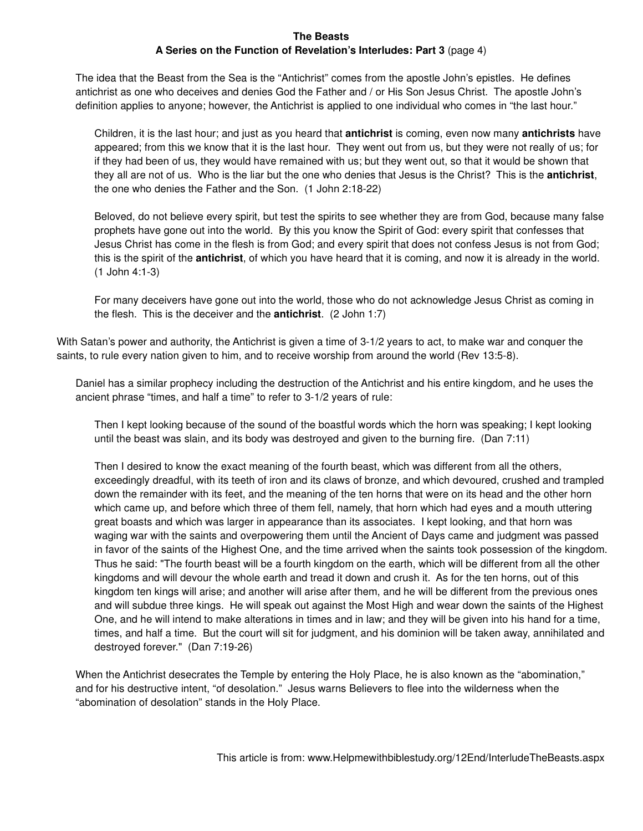# **The Beasts A Series on the Function of Revelation's Interludes: Part 3** (page 4)

The idea that the Beast from the Sea is the "Antichrist" comes from the apostle John's epistles. He defines antichrist as one who deceives and denies God the Father and / or His Son Jesus Christ. The apostle John's definition applies to anyone; however, the Antichrist is applied to one individual who comes in "the last hour."

Children, it is the last hour; and just as you heard that **antichrist** is coming, even now many **antichrists** have appeared; from this we know that it is the last hour. They went out from us, but they were not really of us; for if they had been of us, they would have remained with us; but they went out, so that it would be shown that they all are not of us. Who is the liar but the one who denies that Jesus is the Christ? This is the **antichrist**, the one who denies the Father and the Son. (1 John 2:18-22)

Beloved, do not believe every spirit, but test the spirits to see whether they are from God, because many false prophets have gone out into the world. By this you know the Spirit of God: every spirit that confesses that Jesus Christ has come in the flesh is from God; and every spirit that does not confess Jesus is not from God; this is the spirit of the **antichrist**, of which you have heard that it is coming, and now it is already in the world. (1 John 4:1-3)

For many deceivers have gone out into the world, those who do not acknowledge Jesus Christ as coming in the flesh. This is the deceiver and the **antichrist**. (2 John 1:7)

With Satan's power and authority, the Antichrist is given a time of 3-1/2 years to act, to make war and conquer the saints, to rule every nation given to him, and to receive worship from around the world (Rev 13:5-8).

Daniel has a similar prophecy including the destruction of the Antichrist and his entire kingdom, and he uses the ancient phrase "times, and half a time" to refer to 3-1/2 years of rule:

Then I kept looking because of the sound of the boastful words which the horn was speaking; I kept looking until the beast was slain, and its body was destroyed and given to the burning fire. (Dan 7:11)

Then I desired to know the exact meaning of the fourth beast, which was different from all the others, exceedingly dreadful, with its teeth of iron and its claws of bronze, and which devoured, crushed and trampled down the remainder with its feet, and the meaning of the ten horns that were on its head and the other horn which came up, and before which three of them fell, namely, that horn which had eyes and a mouth uttering great boasts and which was larger in appearance than its associates. I kept looking, and that horn was waging war with the saints and overpowering them until the Ancient of Days came and judgment was passed in favor of the saints of the Highest One, and the time arrived when the saints took possession of the kingdom. Thus he said: "The fourth beast will be a fourth kingdom on the earth, which will be different from all the other kingdoms and will devour the whole earth and tread it down and crush it. As for the ten horns, out of this kingdom ten kings will arise; and another will arise after them, and he will be different from the previous ones and will subdue three kings. He will speak out against the Most High and wear down the saints of the Highest One, and he will intend to make alterations in times and in law; and they will be given into his hand for a time, times, and half a time. But the court will sit for judgment, and his dominion will be taken away, annihilated and destroyed forever." (Dan 7:19-26)

When the Antichrist desecrates the Temple by entering the Holy Place, he is also known as the "abomination," and for his destructive intent, "of desolation." Jesus warns Believers to flee into the wilderness when the "abomination of desolation" stands in the Holy Place.